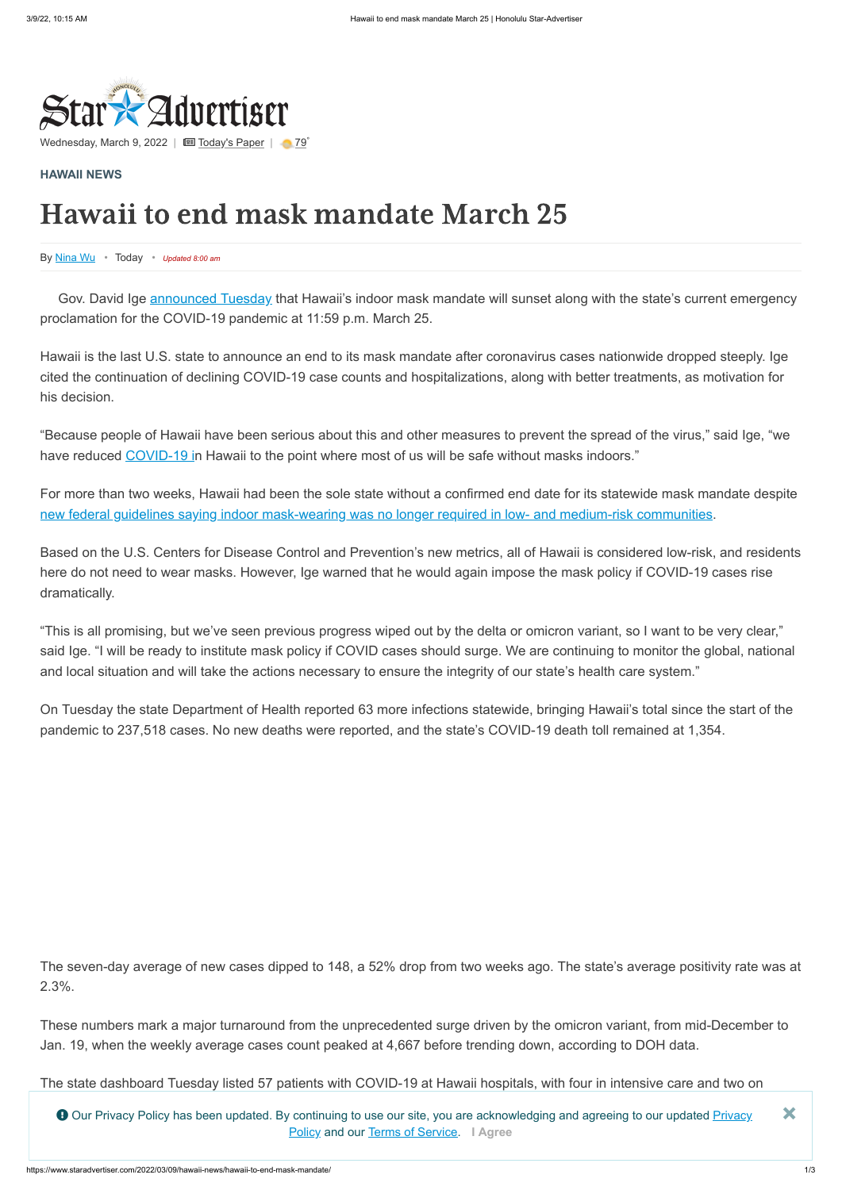

Wednesday, March 9, 2022 |  $\Box$  [Today's Paper](https://www.staradvertiser.com/redirect/?redirect_to=https%3A%2F%2Fprintreplica.staradvertiser.com%2F) |  $\Box$  [79](https://www.staradvertiser.com/hawaii-weather)°

By [Nina Wu](https://www.staradvertiser.com/author/nwu/) • Today • *Updated 8:00 am*

Gov. David Ige **[announced Tuesday](https://www.staradvertiser.com/2022/03/08/breaking-news/upcoming-livestream-gov-david-ige-and-health-department-officials-to-discuss-hawaiis-mask-mandate-tune-in-at-1-p-m/)** that Hawaii's indoor mask mandate will sunset along with the state's current emergency proclamation for the COVID-19 pandemic at 11:59 p.m. March 25.

## **[HAWAII NEWS](https://www.staradvertiser.com/category/hawaii-news/)**

## Hawaii to end mask mandate March 25

"Because people of Hawaii have been serious about this and other measures to prevent the spread of the virus," said Ige, "we have reduced [COVID-19 in](https://www.staradvertiser.com/coronavirus/) Hawaii to the point where most of us will be safe without masks indoors."

Hawaii is the last U.S. state to announce an end to its mask mandate after coronavirus cases nationwide dropped steeply. Ige cited the continuation of declining COVID-19 case counts and hospitalizations, along with better treatments, as motivation for his decision.

For more than two weeks, Hawaii had been the sole state without a confirmed end date for its statewide mask mandate despite [new federal guidelines saying indoor mask-wearing was no longer required in low- and medium-risk communities](https://www.staradvertiser.com/2022/02/25/breaking-news/many-healthy-americans-can-take-a-break-from-masks-cdc-says/).

Based on the U.S. Centers for Disease Control and Prevention's new metrics, all of Hawaii is considered low-risk, and residents here do not need to wear masks. However, Ige warned that he would again impose the mask policy if COVID-19 cases rise dramatically.

"This is all promising, but we've seen previous progress wiped out by the delta or omicron variant, so I want to be very clear," said Ige. "I will be ready to institute mask policy if COVID cases should surge. We are continuing to monitor the global, national and local situation and will take the actions necessary to ensure the integrity of our state's health care system."

On Tuesday the state Department of Health reported 63 more infections statewide, bringing Hawaii's total since the start of the pandemic to 237,518 cases. No new deaths were reported, and the state's COVID-19 death toll remained at 1,354.

The seven-day average of new cases dipped to 148, a 52% drop from two weeks ago. The state's average positivity rate was at 2.3%.

These numbers mark a major turnaround from the unprecedented surge driven by the omicron variant, from mid-December to Jan. 19, when the weekly average cases count peaked at 4,667 before trending down, according to DOH data.

The state dashboard Tuesday listed 57 patients with COVID-19 at Hawaii hospitals, with four in intensive care and two on

● Our Privacy Policy has been updated. By continuing to use our site, you are acknowledging and agreeing to our updated <u>Privacy</u><br>Policy and our <u>[Terms of Service](http://www.oahupublications.com/terms-of-service)</u>. I Agree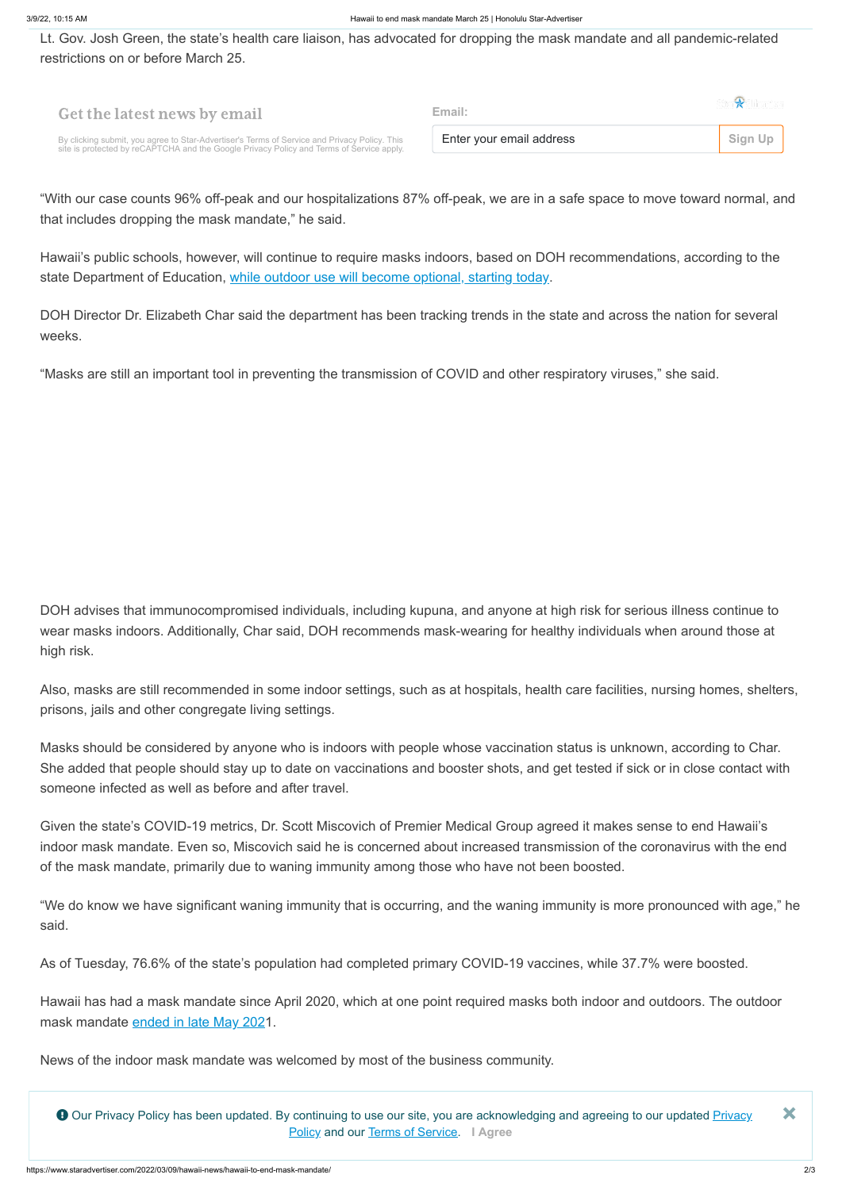Lt. Gov. Josh Green, the state's health care liaison, has advocated for dropping the mask mandate and all pandemic-related restrictions on or before March 25.

Hawaii's public schools, however, will continue to require masks indoors, based on DOH recommendations, according to the state Department of Education, [while outdoor use will become optional, starting today](https://www.staradvertiser.com/2022/03/08/hawaii-news/outdoor-masking-optional-at-hawaii-public-schools-starting-wednesday/).

"With our case counts 96% off-peak and our hospitalizations 87% off-peak, we are in a safe space to move toward normal, and that includes dropping the mask mandate," he said.

DOH Director Dr. Elizabeth Char said the department has been tracking trends in the state and across the nation for several weeks.

"Masks are still an important tool in preventing the transmission of COVID and other respiratory viruses," she said.

DOH advises that immunocompromised individuals, including kupuna, and anyone at high risk for serious illness continue to wear masks indoors. Additionally, Char said, DOH recommends mask-wearing for healthy individuals when around those at high risk.

Also, masks are still recommended in some indoor settings, such as at hospitals, health care facilities, nursing homes, shelters, prisons, jails and other congregate living settings.

| <b>Get the latest news by email</b>                                                                                                                                                      | Fmail:                   |         |
|------------------------------------------------------------------------------------------------------------------------------------------------------------------------------------------|--------------------------|---------|
| By clicking submit, you agree to Star-Advertiser's Terms of Service and Privacy Policy. This<br>site is protected by reCAPTCHA and the Google Privacy Policy and Terms of Service apply. | Enter your email address | Sign Up |

Masks should be considered by anyone who is indoors with people whose vaccination status is unknown, according to Char. She added that people should stay up to date on vaccinations and booster shots, and get tested if sick or in close contact with someone infected as well as before and after travel.

Given the state's COVID-19 metrics, Dr. Scott Miscovich of Premier Medical Group agreed it makes sense to end Hawaii's indoor mask mandate. Even so, Miscovich said he is concerned about increased transmission of the coronavirus with the end of the mask mandate, primarily due to waning immunity among those who have not been boosted.

"We do know we have significant waning immunity that is occurring, and the waning immunity is more pronounced with age," he said.

As of Tuesday, 76.6% of the state's population had completed primary COVID-19 vaccines, while 37.7% were boosted.

Hawaii has had a mask mandate since April 2020, which at one point required masks both indoor and outdoors. The outdoor mask mandate [ended in late May 202](https://www.staradvertiser.com/redirect/?redirect_to=https%3A%2F%2Fwww.staradvertiser.com%2F2021%2F05%2F26%2Fhawaii-news%2Flose-the-mask-when-outdoors%2F)1.

News of the indoor mask mandate was welcomed by most of the business community.

Our Privacy Policy has been updated. B[y continuing to use our site, you are acknowledging and agreeing to our updated Privacy](http://www.oahupublications.com/terms-of-service/) Policy and our [Terms of Service](http://www.oahupublications.com/terms-of-service). **I Agree ×**